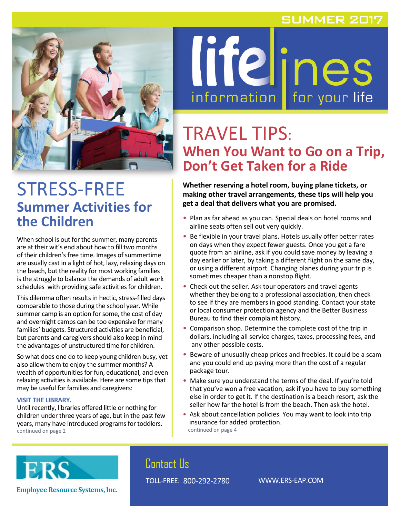### **SUMMER 2017**



# STRESS-FREE **Summer Activities for the Children**

When school is out for the summer, many parents are at their wit's end about how to fill two months of their children's free time. Images of summertime are usually cast in a light of hot, lazy, relaxing days on the beach, but the reality for most working families is the struggle to balance the demands of adult work schedules with providing safe activities for children.

This dilemma often results in hectic, stress-filled days comparable to those during the school year. While summer camp is an option for some, the cost of day and overnight camps can be too expensive for many families' budgets. Structured activities are beneficial, but parents and caregivers should also keep in mind the advantages of unstructured time for children.

So what does one do to keep young children busy, yet also allow them to enjoy the summer months? A wealth of opportunities for fun, educational, and even relaxing activities is available. Here are some tips that may be useful for families and caregivers:

#### **VISIT THE LIBRARY.**

Until recently, libraries offered little or nothing for children under three years of age, but in the past few years, many have introduced programs for toddlers. continued on page 2



# TRAVEL TIPS: **When You Want to Go on a Trip, Don't Get Taken for a Ride**

**Whether reserving a hotel room, buying plane tickets, or making other travel arrangements, these tips will help you get a deal that delivers what you are promised.**

- Plan as far ahead as you can. Special deals on hotel rooms and airline seats often sell out very quickly.
- Be flexible in your travel plans. Hotels usually offer better rates on days when they expect fewer guests. Once you get a fare quote from an airline, ask if you could save money by leaving a day earlier or later, by taking a different flight on the same day, or using a different airport. Changing planes during your trip is sometimes cheaper than a nonstop flight.
- Check out the seller. Ask tour operators and travel agents whether they belong to a professional association, then check to see if they are members in good standing. Contact your state or local consumer protection agency and the Better Business Bureau to find their complaint history.
- Comparison shop. Determine the complete cost of the trip in dollars, including all service charges, taxes, processing fees, and any other possible costs.
- Beware of unusually cheap prices and freebies. It could be a scam and you could end up paying more than the cost of a regular package tour.
- Make sure you understand the terms of the deal. If you're told that you've won a free vacation, ask if you have to buy something else in order to get it. If the destination is a beach resort, ask the seller how far the hotel is from the beach. Then ask the hotel.
- Ask about cancellation policies. You may want to look into trip insurance for added protection. continued on page 4



**Employee Resource Systems, Inc.**

## Contact Us

TOLL-FREE: 800-292-2780 WWW.ERS-EAP.COM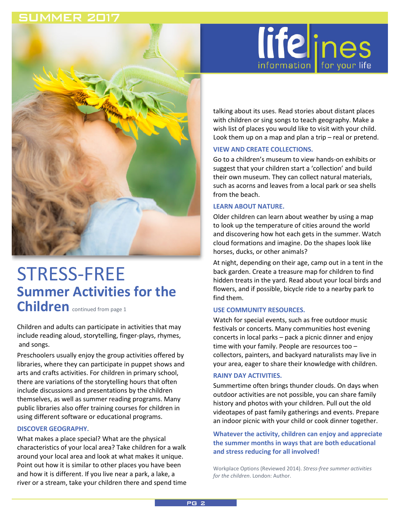### **SUMMER 2017**



# STRESS-FREE **Summer Activities for the Children** continued from page 1

Children and adults can participate in activities that may include reading aloud, storytelling, finger-plays, rhymes, and songs.

Preschoolers usually enjoy the group activities offered by libraries, where they can participate in puppet shows and arts and crafts activities. For children in primary school, there are variations of the storytelling hours that often include discussions and presentations by the children themselves, as well as summer reading programs. Many public libraries also offer training courses for children in using different software or educational programs.

### **DISCOVER GEOGRAPHY.**

What makes a place special? What are the physical characteristics of your local area? Take children for a walk around your local area and look at what makes it unique. Point out how it is similar to other places you have been and how it is different. If you live near a park, a lake, a river or a stream, take your children there and spend time



talking about its uses. Read stories about distant places with children or sing songs to teach geography. Make a wish list of places you would like to visit with your child. Look them up on a map and plan a trip – real or pretend.

### **VIEW AND CREATE COLLECTIONS.**

Go to a children's museum to view hands-on exhibits or suggest that your children start a 'collection' and build their own museum. They can collect natural materials, such as acorns and leaves from a local park or sea shells from the beach.

#### **LEARN ABOUT NATURE.**

Older children can learn about weather by using a map to look up the temperature of cities around the world and discovering how hot each gets in the summer. Watch cloud formations and imagine. Do the shapes look like horses, ducks, or other animals?

At night, depending on their age, camp out in a tent in the back garden. Create a treasure map for children to find hidden treats in the yard. Read about your local birds and flowers, and if possible, bicycle ride to a nearby park to find them.

#### **USE COMMUNITY RESOURCES.**

Watch for special events, such as free outdoor music festivals or concerts. Many communities host evening concerts in local parks – pack a picnic dinner and enjoy time with your family. People are resources too – collectors, painters, and backyard naturalists may live in your area, eager to share their knowledge with children.

#### **RAINY DAY ACTIVITIES.**

Summertime often brings thunder clouds. On days when outdoor activities are not possible, you can share family history and photos with your children. Pull out the old videotapes of past family gatherings and events. Prepare an indoor picnic with your child or cook dinner together.

### **Whatever the activity, children can enjoy and appreciate the summer months in ways that are both educational and stress reducing for all involved!**

Workplace Options (Reviewed 2014). *Stress-free summer activities for the children*. London: Author.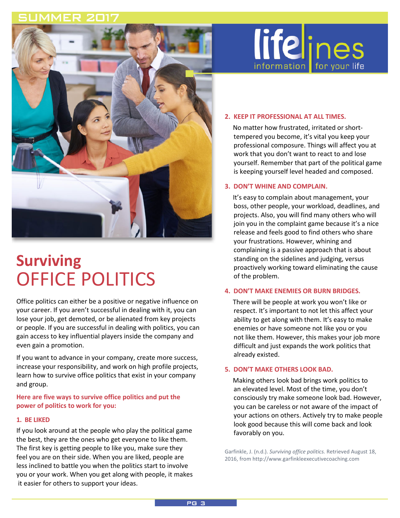

# **Surviving** OFFICE POLITICS

Office politics can either be a positive or negative influence on your career. If you aren't successful in dealing with it, you can lose your job, get demoted, or be alienated from key projects or people. If you are successful in dealing with politics, you can gain access to key influential players inside the company and even gain a promotion.

If you want to advance in your company, create more success, increase your responsibility, and work on high profile projects, learn how to survive office politics that exist in your company and group.

**Here are five ways to survive office politics and put the power of politics to work for you:**

#### **1. BE LIKED**

If you look around at the people who play the political game the best, they are the ones who get everyone to like them. The first key is getting people to like you, make sure they feel you are on their side. When you are liked, people are less inclined to battle you when the politics start to involve you or your work. When you get along with people, it makes it easier for others to support your ideas.



#### **2. KEEP IT PROFESSIONAL AT ALL TIMES.**

 No matter how frustrated, irritated or shorttempered you become, it's vital you keep your professional composure. Things will affect you at work that you don't want to react to and lose yourself. Remember that part of the political game is keeping yourself level headed and composed.

#### **3. DON'T WHINE AND COMPLAIN.**

 It's easy to complain about management, your boss, other people, your workload, deadlines, and projects. Also, you will find many others who will join you in the complaint game because it's a nice release and feels good to find others who share your frustrations. However, whining and complaining is a passive approach that is about standing on the sidelines and judging, versus proactively working toward eliminating the cause of the problem.

#### **4. DON'T MAKE ENEMIES OR BURN BRIDGES.**

 There will be people at work you won't like or respect. It's important to not let this affect your ability to get along with them. It's easy to make enemies or have someone not like you or you not like them. However, this makes your job more difficult and just expands the work politics that already existed.

#### **5. DON'T MAKE OTHERS LOOK BAD.**

 Making others look bad brings work politics to an elevated level. Most of the time, you don't consciously try make someone look bad. However, you can be careless or not aware of the impact of your actions on others. Actively try to make people look good because this will come back and look favorably on you.

Garfinkle, J. (n.d.). *Surviving office politics.* Retrieved August 18, 2016, from http://www.garfinkleexecutivecoaching.com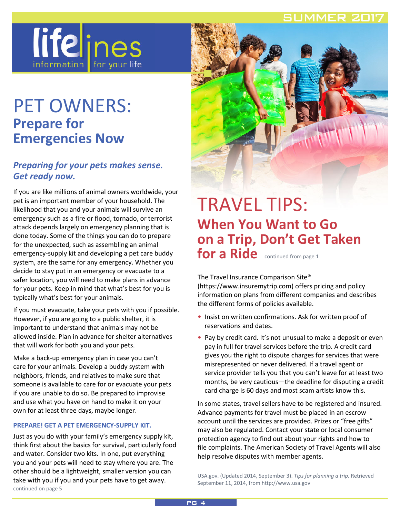### SLIMMER 201



# PET OWNERS: **Prepare for Emergencies Now**

### *Preparing for your pets makes sense. Get ready now.*

If you are like millions of animal owners worldwide, your pet is an important member of your household. The likelihood that you and your animals will survive an emergency such as a fire or flood, tornado, or terrorist attack depends largely on emergency planning that is done today. Some of the things you can do to prepare for the unexpected, such as assembling an animal emergency-supply kit and developing a pet care buddy system, are the same for any emergency. Whether you decide to stay put in an emergency or evacuate to a safer location, you will need to make plans in advance for your pets. Keep in mind that what's best for you is typically what's best for your animals.

If you must evacuate, take your pets with you if possible. However, if you are going to a public shelter, it is important to understand that animals may not be allowed inside. Plan in advance for shelter alternatives that will work for both you and your pets.

Make a back-up emergency plan in case you can't care for your animals. Develop a buddy system with neighbors, friends, and relatives to make sure that someone is available to care for or evacuate your pets if you are unable to do so. Be prepared to improvise and use what you have on hand to make it on your own for at least three days, maybe longer.

#### **PREPARE! GET A PET EMERGENCY-SUPPLY KIT.**

Just as you do with your family's emergency supply kit, think first about the basics for survival, particularly food and water. Consider two kits. In one, put everything you and your pets will need to stay where you are. The other should be a lightweight, smaller version you can take with you if you and your pets have to get away. continued on page 5



## TRAVEL TIPS: **When You Want to Go on a Trip, Don't Get Taken**  for a Ride continued from page 1

The Travel Insurance Comparison Site® (https://www.insuremytrip.com) offers pricing and policy information on plans from different companies and describes the different forms of policies available.

- Insist on written confirmations. Ask for written proof of reservations and dates.
- Pay by credit card. It's not unusual to make a deposit or even pay in full for travel services before the trip. A credit card gives you the right to dispute charges for services that were misrepresented or never delivered. If a travel agent or service provider tells you that you can't leave for at least two months, be very cautious—the deadline for disputing a credit card charge is 60 days and most scam artists know this.

In some states, travel sellers have to be registered and insured. Advance payments for travel must be placed in an escrow account until the services are provided. Prizes or "free gifts" may also be regulated. Contact your state or local consumer protection agency to find out about your rights and how to file complaints. The American Society of Travel Agents will also help resolve disputes with member agents.

USA.gov. (Updated 2014, September 3). *Tips for planning a trip.* Retrieved September 11, 2014, from http://www.usa.gov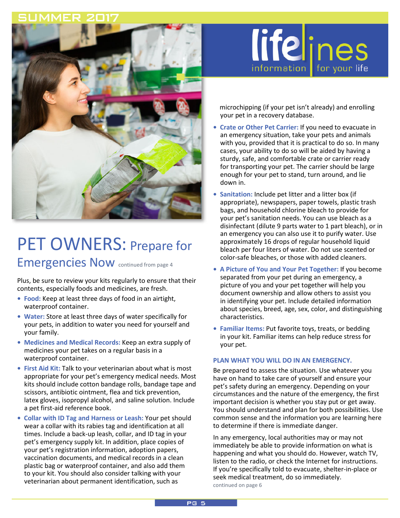

# PET OWNERS: Prepare for Emergencies Now continued from page 4

Plus, be sure to review your kits regularly to ensure that their contents, especially foods and medicines, are fresh.

- **Food:** Keep at least three days of food in an airtight, waterproof container.
- **Water:** Store at least three days of water specifically for your pets, in addition to water you need for yourself and your family.
- **Medicines and Medical Records:** Keep an extra supply of medicines your pet takes on a regular basis in a waterproof container.
- **First Aid Kit:** Talk to your veterinarian about what is most appropriate for your pet's emergency medical needs. Most kits should include cotton bandage rolls, bandage tape and scissors, antibiotic ointment, flea and tick prevention, latex gloves, isopropyl alcohol, and saline solution. Include a pet first-aid reference book.
- **Collar with ID Tag and Harness or Leash:** Your pet should wear a collar with its rabies tag and identification at all times. Include a back-up leash, collar, and ID tag in your pet's emergency supply kit. In addition, place copies of your pet's registration information, adoption papers, vaccination documents, and medical records in a clean plastic bag or waterproof container, and also add them to your kit. You should also consider talking with your veterinarian about permanent identification, such as



 microchipping (if your pet isn't already) and enrolling your pet in a recovery database.

- **Crate or Other Pet Carrier:** If you need to evacuate in an emergency situation, take your pets and animals with you, provided that it is practical to do so. In many cases, your ability to do so will be aided by having a sturdy, safe, and comfortable crate or carrier ready for transporting your pet. The carrier should be large enough for your pet to stand, turn around, and lie down in.
- **Sanitation:** Include pet litter and a litter box (if appropriate), newspapers, paper towels, plastic trash bags, and household chlorine bleach to provide for your pet's sanitation needs. You can use bleach as a disinfectant (dilute 9 parts water to 1 part bleach), or in an emergency you can also use it to purify water. Use approximately 16 drops of regular household liquid bleach per four liters of water. Do not use scented or color-safe bleaches, or those with added cleaners.
- **A Picture of You and Your Pet Together:** If you become separated from your pet during an emergency, a picture of you and your pet together will help you document ownership and allow others to assist you in identifying your pet. Include detailed information about species, breed, age, sex, color, and distinguishing characteristics.
- **Familiar Items:** Put favorite toys, treats, or bedding in your kit. Familiar items can help reduce stress for your pet.

#### **PLAN WHAT YOU WILL DO IN AN EMERGENCY.**

Be prepared to assess the situation. Use whatever you have on hand to take care of yourself and ensure your pet's safety during an emergency. Depending on your circumstances and the nature of the emergency, the first important decision is whether you stay put or get away. You should understand and plan for both possibilities. Use common sense and the information you are learning here to determine if there is immediate danger.

In any emergency, local authorities may or may not immediately be able to provide information on what is happening and what you should do. However, watch TV, listen to the radio, or check the Internet for instructions. If you're specifically told to evacuate, shelter-in-place or seek medical treatment, do so immediately. continued on page 6